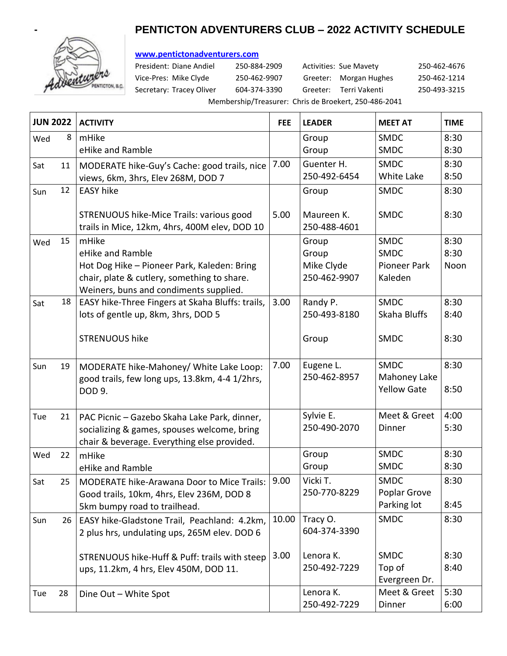# **- PENTICTON ADVENTURERS CLUB – 2022 ACTIVITY SCHEDULE**



## **[www.pentictonadventurers.com](http://www.pentictonadventurers.com/)**

President: Diane Andiel 250-884-2909 Activities: Sue Mavety 250-462-4676 Vice-Pres: Mike Clyde 250-462-9907 Greeter: Morgan Hughes 250-462-1214 Secretary: Tracey Oliver 604-374-3390 Greeter: Terri Vakenti 250-493-3215

Membership/Treasurer: Chris de Broekert, 250-486-2041

| <b>JUN 2022</b> |    | <b>ACTIVITY</b>                                                                                                                                                   | <b>FEE</b> | <b>LEADER</b>                                | <b>MEET AT</b>                                               | <b>TIME</b>          |
|-----------------|----|-------------------------------------------------------------------------------------------------------------------------------------------------------------------|------------|----------------------------------------------|--------------------------------------------------------------|----------------------|
| Wed             | 8  | mHike<br>eHike and Ramble                                                                                                                                         |            | Group<br>Group                               | <b>SMDC</b><br><b>SMDC</b>                                   | 8:30<br>8:30         |
| Sat             | 11 | MODERATE hike-Guy's Cache: good trails, nice<br>views, 6km, 3hrs, Elev 268M, DOD 7                                                                                | 7.00       | Guenter H.<br>250-492-6454                   | <b>SMDC</b><br>White Lake                                    | 8:30<br>8:50         |
| Sun             | 12 | <b>EASY hike</b>                                                                                                                                                  |            | Group                                        | <b>SMDC</b>                                                  | 8:30                 |
|                 |    | STRENUOUS hike-Mice Trails: various good<br>trails in Mice, 12km, 4hrs, 400M elev, DOD 10                                                                         | 5.00       | Maureen K.<br>250-488-4601                   | <b>SMDC</b>                                                  | 8:30                 |
| Wed             | 15 | mHike<br>eHike and Ramble<br>Hot Dog Hike - Pioneer Park, Kaleden: Bring<br>chair, plate & cutlery, something to share.<br>Weiners, buns and condiments supplied. |            | Group<br>Group<br>Mike Clyde<br>250-462-9907 | <b>SMDC</b><br><b>SMDC</b><br><b>Pioneer Park</b><br>Kaleden | 8:30<br>8:30<br>Noon |
| Sat             | 18 | EASY hike-Three Fingers at Skaha Bluffs: trails,<br>lots of gentle up, 8km, 3hrs, DOD 5                                                                           | 3.00       | Randy P.<br>250-493-8180                     | <b>SMDC</b><br>Skaha Bluffs                                  | 8:30<br>8:40         |
|                 |    | <b>STRENUOUS hike</b>                                                                                                                                             |            | Group                                        | <b>SMDC</b>                                                  | 8:30                 |
| Sun             | 19 | MODERATE hike-Mahoney/ White Lake Loop:<br>good trails, few long ups, 13.8km, 4-4 1/2hrs,<br>DOD 9.                                                               | 7.00       | Eugene L.<br>250-462-8957                    | <b>SMDC</b><br>Mahoney Lake<br><b>Yellow Gate</b>            | 8:30<br>8:50         |
| Tue             | 21 | PAC Picnic - Gazebo Skaha Lake Park, dinner,<br>socializing & games, spouses welcome, bring<br>chair & beverage. Everything else provided.                        |            | Sylvie E.<br>250-490-2070                    | Meet & Greet<br>Dinner                                       | 4:00<br>5:30         |
| Wed             | 22 | mHike<br>eHike and Ramble                                                                                                                                         |            | Group<br>Group                               | <b>SMDC</b><br><b>SMDC</b>                                   | 8:30<br>8:30         |
| Sat             | 25 | <b>MODERATE hike-Arawana Door to Mice Trails:</b><br>Good trails, 10km, 4hrs, Elev 236M, DOD 8<br>5km bumpy road to trailhead.                                    | 9.00       | Vicki T.<br>250-770-8229                     | <b>SMDC</b><br>Poplar Grove<br>Parking lot                   | 8:30<br>8:45         |
| Sun             | 26 | EASY hike-Gladstone Trail, Peachland: 4.2km,<br>2 plus hrs, undulating ups, 265M elev. DOD 6                                                                      | 10.00      | Tracy O.<br>604-374-3390                     | <b>SMDC</b>                                                  | 8:30                 |
|                 |    | STRENUOUS hike-Huff & Puff: trails with steep<br>ups, 11.2km, 4 hrs, Elev 450M, DOD 11.                                                                           | 3.00       | Lenora K.<br>250-492-7229                    | <b>SMDC</b><br>Top of<br>Evergreen Dr.                       | 8:30<br>8:40         |
| Tue             | 28 | Dine Out - White Spot                                                                                                                                             |            | Lenora K.<br>250-492-7229                    | Meet & Greet<br>Dinner                                       | 5:30<br>6:00         |